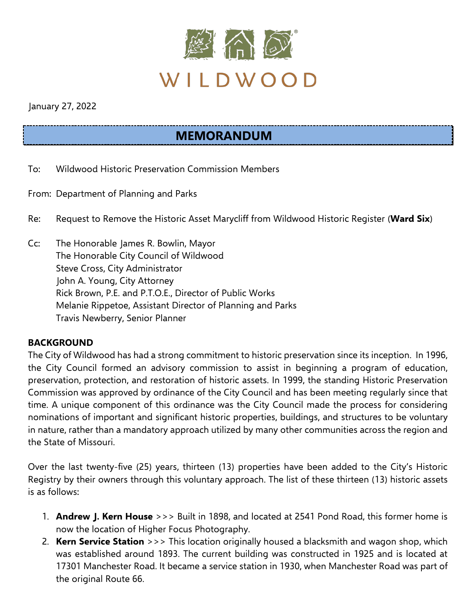

January 27, 2022

# **MEMORANDUM**

- To: Wildwood Historic Preservation Commission Members
- From: Department of Planning and Parks
- Re: Request to Remove the Historic Asset Marycliff from Wildwood Historic Register (**Ward Six**)
- Cc: The Honorable James R. Bowlin, Mayor The Honorable City Council of Wildwood Steve Cross, City Administrator John A. Young, City Attorney Rick Brown, P.E. and P.T.O.E., Director of Public Works Melanie Rippetoe, Assistant Director of Planning and Parks Travis Newberry, Senior Planner

#### **BACKGROUND**

The City of Wildwood has had a strong commitment to historic preservation since its inception. In 1996, the City Council formed an advisory commission to assist in beginning a program of education, preservation, protection, and restoration of historic assets. In 1999, the standing Historic Preservation Commission was approved by ordinance of the City Council and has been meeting regularly since that time. A unique component of this ordinance was the City Council made the process for considering nominations of important and significant historic properties, buildings, and structures to be voluntary in nature, rather than a mandatory approach utilized by many other communities across the region and the State of Missouri.

Over the last twenty-five (25) years, thirteen (13) properties have been added to the City's Historic Registry by their owners through this voluntary approach. The list of these thirteen (13) historic assets is as follows:

- 1. **Andrew J. Kern House** >>> Built in 1898, and located at 2541 Pond Road, this former home is now the location of Higher Focus Photography.
- 2. **Kern Service Station** >>> This location originally housed a blacksmith and wagon shop, which was established around 1893. The current building was constructed in 1925 and is located at 17301 Manchester Road. It became a service station in 1930, when Manchester Road was part of the original Route 66.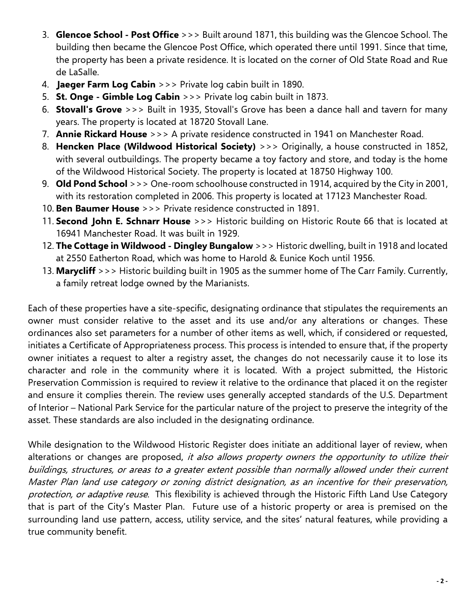- 3. **Glencoe School - Post Office** >>> Built around 1871, this building was the Glencoe School. The building then became the Glencoe Post Office, which operated there until 1991. Since that time, the property has been a private residence. It is located on the corner of Old State Road and Rue de LaSalle.
- 4. **Jaeger Farm Log Cabin** >>> Private log cabin built in 1890.
- 5. **St. Onge - Gimble Log Cabin** >>> Private log cabin built in 1873.
- 6. **Stovall's Grove** >>> Built in 1935, Stovall's Grove has been a dance hall and tavern for many years. The property is located at 18720 Stovall Lane.
- 7. **Annie Rickard House** >>> A private residence constructed in 1941 on Manchester Road.
- 8. **Hencken Place (Wildwood Historical Society)** >>> Originally, a house constructed in 1852, with several outbuildings. The property became a toy factory and store, and today is the home of the Wildwood Historical Society. The property is located at 18750 Highway 100.
- 9. **Old Pond School** >>> One-room schoolhouse constructed in 1914, acquired by the City in 2001, with its restoration completed in 2006. This property is located at 17123 Manchester Road.
- 10. **Ben Baumer House** >>> Private residence constructed in 1891.
- 11. **Second John E. Schnarr House** >>> Historic building on Historic Route 66 that is located at 16941 Manchester Road. It was built in 1929.
- 12. **The Cottage in Wildwood - Dingley Bungalow** >>> Historic dwelling, built in 1918 and located at 2550 Eatherton Road, which was home to Harold & Eunice Koch until 1956.
- 13. **Marycliff** >>> Historic building built in 1905 as the summer home of The Carr Family. Currently, a family retreat lodge owned by the Marianists.

Each of these properties have a site-specific, designating ordinance that stipulates the requirements an owner must consider relative to the asset and its use and/or any alterations or changes. These ordinances also set parameters for a number of other items as well, which, if considered or requested, initiates a Certificate of Appropriateness process. This process is intended to ensure that, if the property owner initiates a request to alter a registry asset, the changes do not necessarily cause it to lose its character and role in the community where it is located. With a project submitted, the Historic Preservation Commission is required to review it relative to the ordinance that placed it on the register and ensure it complies therein. The review uses generally accepted standards of the U.S. Department of Interior – National Park Service for the particular nature of the project to preserve the integrity of the asset. These standards are also included in the designating ordinance.

While designation to the Wildwood Historic Register does initiate an additional layer of review, when alterations or changes are proposed, it also allows property owners the opportunity to utilize their buildings, structures, or areas to a greater extent possible than normally allowed under their current Master Plan land use category or zoning district designation, as an incentive for their preservation, protection, or adaptive reuse. This flexibility is achieved through the Historic Fifth Land Use Category that is part of the City's Master Plan. Future use of a historic property or area is premised on the surrounding land use pattern, access, utility service, and the sites' natural features, while providing a true community benefit.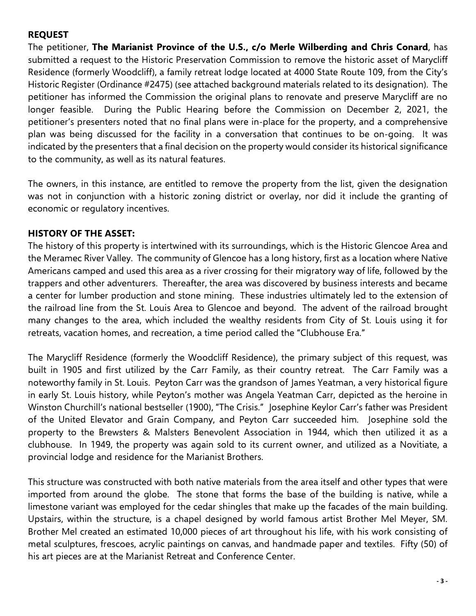#### **REQUEST**

The petitioner, **The Marianist Province of the U.S., c/o Merle Wilberding and Chris Conard**, has submitted a request to the Historic Preservation Commission to remove the historic asset of Marycliff Residence (formerly Woodcliff), a family retreat lodge located at 4000 State Route 109, from the City's Historic Register (Ordinance #2475) (see attached background materials related to its designation). The petitioner has informed the Commission the original plans to renovate and preserve Marycliff are no longer feasible. During the Public Hearing before the Commission on December 2, 2021, the petitioner's presenters noted that no final plans were in-place for the property, and a comprehensive plan was being discussed for the facility in a conversation that continues to be on-going. It was indicated by the presenters that a final decision on the property would consider its historical significance to the community, as well as its natural features.

The owners, in this instance, are entitled to remove the property from the list, given the designation was not in conjunction with a historic zoning district or overlay, nor did it include the granting of economic or regulatory incentives.

#### **HISTORY OF THE ASSET:**

The history of this property is intertwined with its surroundings, which is the Historic Glencoe Area and the Meramec River Valley. The community of Glencoe has a long history, first as a location where Native Americans camped and used this area as a river crossing for their migratory way of life, followed by the trappers and other adventurers. Thereafter, the area was discovered by business interests and became a center for lumber production and stone mining. These industries ultimately led to the extension of the railroad line from the St. Louis Area to Glencoe and beyond. The advent of the railroad brought many changes to the area, which included the wealthy residents from City of St. Louis using it for retreats, vacation homes, and recreation, a time period called the "Clubhouse Era."

The Marycliff Residence (formerly the Woodcliff Residence), the primary subject of this request, was built in 1905 and first utilized by the Carr Family, as their country retreat. The Carr Family was a noteworthy family in St. Louis. Peyton Carr was the grandson of James Yeatman, a very historical figure in early St. Louis history, while Peyton's mother was Angela Yeatman Carr, depicted as the heroine in Winston Churchill's national bestseller (1900), "The Crisis." Josephine Keylor Carr's father was President of the United Elevator and Grain Company, and Peyton Carr succeeded him. Josephine sold the property to the Brewsters & Malsters Benevolent Association in 1944, which then utilized it as a clubhouse. In 1949, the property was again sold to its current owner, and utilized as a Novitiate, a provincial lodge and residence for the Marianist Brothers.

This structure was constructed with both native materials from the area itself and other types that were imported from around the globe. The stone that forms the base of the building is native, while a limestone variant was employed for the cedar shingles that make up the facades of the main building. Upstairs, within the structure, is a chapel designed by world famous artist Brother Mel Meyer, SM. Brother Mel created an estimated 10,000 pieces of art throughout his life, with his work consisting of metal sculptures, frescoes, acrylic paintings on canvas, and handmade paper and textiles. Fifty (50) of his art pieces are at the Marianist Retreat and Conference Center.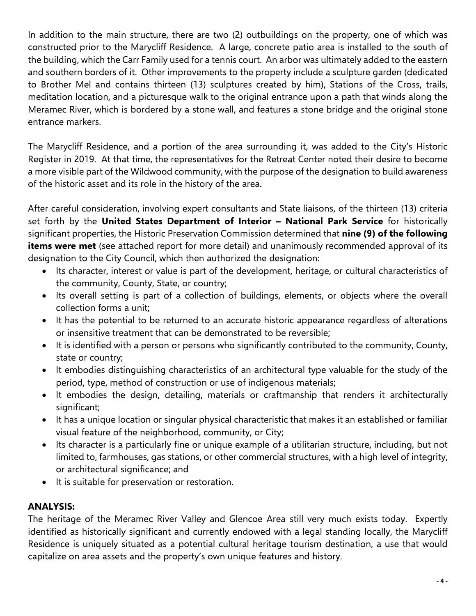In addition to the main structure, there are two (2) outbuildings on the property, one of which was constructed prior to the Marycliff Residence. A large, concrete patio area is installed to the south of the building, which the Carr Family used for a tennis court. An arbor was ultimately added to the eastern and southern borders of it. Other improvements to the property include a sculpture garden (dedicated to Brother Mel and contains thirteen (13) sculptures created by him), Stations of the Cross, trails, meditation location, and a picturesque walk to the original entrance upon a path that winds along the Meramec River, which is bordered by a stone wall, and features a stone bridge and the original stone entrance markers.

The Marycliff Residence, and a portion of the area surrounding it, was added to the City's Historic Register in 2019. At that time, the representatives for the Retreat Center noted their desire to become a more visible part of the Wildwood community, with the purpose of the designation to build awareness of the historic asset and its role in the history of the area.

After careful consideration, involving expert consultants and State liaisons, of the thirteen (13) criteria set forth by the **United States Department of Interior – National Park Service** for historically significant properties, the Historic Preservation Commission determined that **nine (9) of the following items were met** (see attached report for more detail) and unanimously recommended approval of its designation to the City Council, which then authorized the designation:

- Its character, interest or value is part of the development, heritage, or cultural characteristics of the community, County, State, or country;
- Its overall setting is part of a collection of buildings, elements, or objects where the overall collection forms a unit;
- It has the potential to be returned to an accurate historic appearance regardless of alterations or insensitive treatment that can be demonstrated to be reversible;
- It is identified with a person or persons who significantly contributed to the community, County, state or country;
- It embodies distinguishing characteristics of an architectural type valuable for the study of the period, type, method of construction or use of indigenous materials;
- It embodies the design, detailing, materials or craftmanship that renders it architecturally significant;
- It has a unique location or singular physical characteristic that makes it an established or familiar visual feature of the neighborhood, community, or City;
- Its character is a particularly fine or unique example of a utilitarian structure, including, but not limited to, farmhouses, gas stations, or other commercial structures, with a high level of integrity, or architectural significance; and
- It is suitable for preservation or restoration.

# **ANALYSIS:**

The heritage of the Meramec River Valley and Glencoe Area still very much exists today. Expertly identified as historically significant and currently endowed with a legal standing locally, the Marycliff Residence is uniquely situated as a potential cultural heritage tourism destination, a use that would capitalize on area assets and the property's own unique features and history.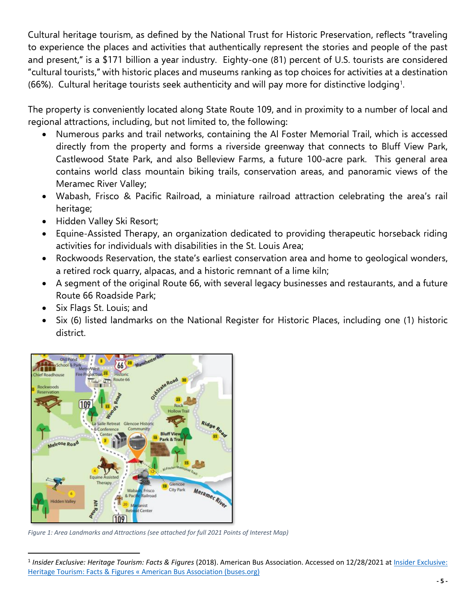Cultural heritage tourism, as defined by the National Trust for Historic Preservation, reflects "traveling to experience the places and activities that authentically represent the stories and people of the past and present," is a \$171 billion a year industry. Eighty-one (81) percent of U.S. tourists are considered "cultural tourists," with historic places and museums ranking as top choices for activities at a destination  $(66%)$ . Cultural heritage tourists seek authenticity and will pay more for distinctive lodging<sup>1</sup>.

The property is conveniently located along State Route 109, and in proximity to a number of local and regional attractions, including, but not limited to, the following:

- Numerous parks and trail networks, containing the Al Foster Memorial Trail, which is accessed directly from the property and forms a riverside greenway that connects to Bluff View Park, Castlewood State Park, and also Belleview Farms, a future 100-acre park. This general area contains world class mountain biking trails, conservation areas, and panoramic views of the Meramec River Valley;
- Wabash, Frisco & Pacific Railroad, a miniature railroad attraction celebrating the area's rail heritage;
- Hidden Valley Ski Resort;
- Equine-Assisted Therapy, an organization dedicated to providing therapeutic horseback riding activities for individuals with disabilities in the St. Louis Area;
- Rockwoods Reservation, the state's earliest conservation area and home to geological wonders, a retired rock quarry, alpacas, and a historic remnant of a lime kiln;
- A segment of the original Route 66, with several legacy businesses and restaurants, and a future Route 66 Roadside Park;
- Six Flags St. Louis; and
- Six (6) listed landmarks on the National Register for Historic Places, including one (1) historic district.



*Figure 1: Area Landmarks and Attractions (see attached for full 2021 Points of Interest Map)*

<sup>&</sup>lt;sup>1</sup> Insider Exclusive: Heritage Tourism: Facts & Figures (2018). American Bus Association. Accessed on 12/28/2021 at *Insider Exclusive*: [Heritage Tourism: Facts & Figures « American Bus Association \(buses.org\)](https://www.buses.org/news/article/insider-exclusive-heritage-toursim-facts-figures)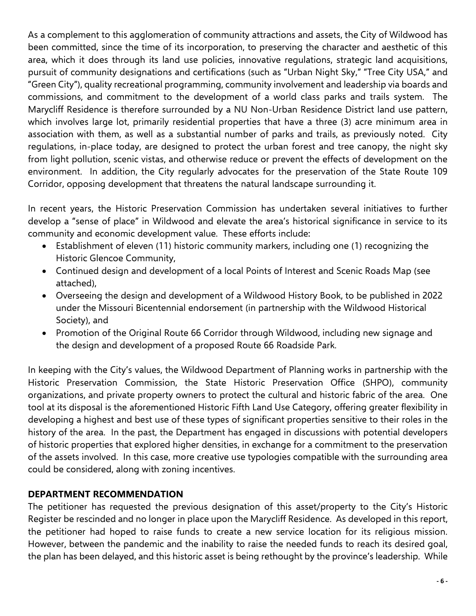As a complement to this agglomeration of community attractions and assets, the City of Wildwood has been committed, since the time of its incorporation, to preserving the character and aesthetic of this area, which it does through its land use policies, innovative regulations, strategic land acquisitions, pursuit of community designations and certifications (such as "Urban Night Sky," "Tree City USA," and "Green City"), quality recreational programming, community involvement and leadership via boards and commissions, and commitment to the development of a world class parks and trails system. The Marycliff Residence is therefore surrounded by a NU Non-Urban Residence District land use pattern, which involves large lot, primarily residential properties that have a three (3) acre minimum area in association with them, as well as a substantial number of parks and trails, as previously noted. City regulations, in-place today, are designed to protect the urban forest and tree canopy, the night sky from light pollution, scenic vistas, and otherwise reduce or prevent the effects of development on the environment. In addition, the City regularly advocates for the preservation of the State Route 109 Corridor, opposing development that threatens the natural landscape surrounding it.

In recent years, the Historic Preservation Commission has undertaken several initiatives to further develop a "sense of place" in Wildwood and elevate the area's historical significance in service to its community and economic development value. These efforts include:

- Establishment of eleven (11) historic community markers, including one (1) recognizing the Historic Glencoe Community,
- Continued design and development of a local Points of Interest and Scenic Roads Map (see attached),
- Overseeing the design and development of a Wildwood History Book, to be published in 2022 under the Missouri Bicentennial endorsement (in partnership with the Wildwood Historical Society), and
- Promotion of the Original Route 66 Corridor through Wildwood, including new signage and the design and development of a proposed Route 66 Roadside Park.

In keeping with the City's values, the Wildwood Department of Planning works in partnership with the Historic Preservation Commission, the State Historic Preservation Office (SHPO), community organizations, and private property owners to protect the cultural and historic fabric of the area. One tool at its disposal is the aforementioned Historic Fifth Land Use Category, offering greater flexibility in developing a highest and best use of these types of significant properties sensitive to their roles in the history of the area. In the past, the Department has engaged in discussions with potential developers of historic properties that explored higher densities, in exchange for a commitment to the preservation of the assets involved. In this case, more creative use typologies compatible with the surrounding area could be considered, along with zoning incentives.

## **DEPARTMENT RECOMMENDATION**

The petitioner has requested the previous designation of this asset/property to the City's Historic Register be rescinded and no longer in place upon the Marycliff Residence. As developed in this report, the petitioner had hoped to raise funds to create a new service location for its religious mission. However, between the pandemic and the inability to raise the needed funds to reach its desired goal, the plan has been delayed, and this historic asset is being rethought by the province's leadership. While